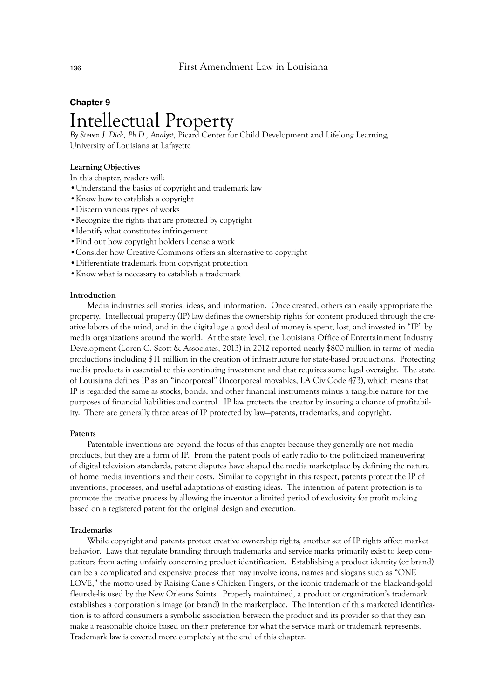# **Chapter 9** Intellectual Property

*By Steven J. Dick, Ph.D., Analyst,* Picard Center for Child Development and Lifelong Learning, University of Louisiana at Lafayette

# **Learning Objectives**

In this chapter, readers will:

- •Understand the basics of copyright and trademark law
- •Know how to establish a copyright
- •Discern various types of works
- •Recognize the rights that are protected by copyright
- •Identify what constitutes infringement
- •Find out how copyright holders license a work
- •Consider how Creative Commons offers an alternative to copyright
- •Differentiate trademark from copyright protection
- •Know what is necessary to establish a trademark

## **Introduction**

Media industries sell stories, ideas, and information. Once created, others can easily appropriate the property. Intellectual property (IP) law defines the ownership rights for content produced through the creative labors of the mind, and in the digital age a good deal of money is spent, lost, and invested in "IP" by media organizations around the world. At the state level, the Louisiana Office of Entertainment Industry Development (Loren C. Scott & Associates, 2013) in 2012 reported nearly \$800 million in terms of media productions including \$11 million in the creation of infrastructure for state-based productions. Protecting media products is essential to this continuing investment and that requires some legal oversight. The state of Louisiana defines IP as an "incorporeal" (Incorporeal movables, LA Civ Code 473), which means that IP is regarded the same as stocks, bonds, and other financial instruments minus a tangible nature for the purposes of financial liabilities and control. IP law protects the creator by insuring a chance of profitability. There are generally three areas of IP protected by law—patents, trademarks, and copyright.

#### **Patents**

Patentable inventions are beyond the focus of this chapter because they generally are not media products, but they are a form of IP. From the patent pools of early radio to the politicized maneuvering of digital television standards, patent disputes have shaped the media marketplace by defining the nature of home media inventions and their costs. Similar to copyright in this respect, patents protect the IP of inventions, processes, and useful adaptations of existing ideas. The intention of patent protection is to promote the creative process by allowing the inventor a limited period of exclusivity for profit making based on a registered patent for the original design and execution.

# **Trademarks**

While copyright and patents protect creative ownership rights, another set of IP rights affect market behavior. Laws that regulate branding through trademarks and service marks primarily exist to keep competitors from acting unfairly concerning product identification. Establishing a product identity (or brand) can be a complicated and expensive process that may involve icons, names and slogans such as "ONE LOVE," the motto used by Raising Cane's Chicken Fingers, or the iconic trademark of the black-and-gold fleur-de-lis used by the New Orleans Saints. Properly maintained, a product or organization's trademark establishes a corporation's image (or brand) in the marketplace. The intention of this marketed identification is to afford consumers a symbolic association between the product and its provider so that they can make a reasonable choice based on their preference for what the service mark or trademark represents. Trademark law is covered more completely at the end of this chapter.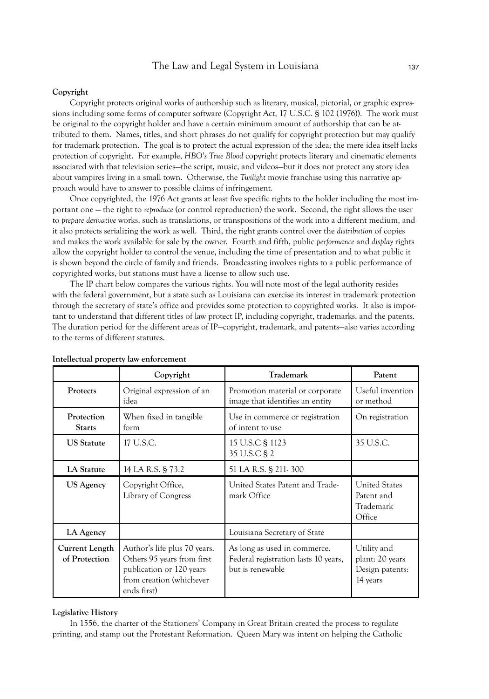# **Copyright**

Copyright protects original works of authorship such as literary, musical, pictorial, or graphic expressions including some forms of computer software (Copyright Act, 17 U.S.C. § 102 (1976)). The work must be original to the copyright holder and have a certain minimum amount of authorship that can be attributed to them. Names, titles, and short phrases do not qualify for copyright protection but may qualify for trademark protection. The goal is to protect the actual expression of the idea; the mere idea itself lacks protection of copyright. For example, *HBO's True Blood* copyright protects literary and cinematic elements associated with that television series—the script, music, and videos—but it does not protect any story idea about vampires living in a small town. Otherwise, the *Twilight* movie franchise using this narrative approach would have to answer to possible claims of infringement.

Once copyrighted, the 1976 Act grants at least five specific rights to the holder including the most important one — the right to *reproduce* (or control reproduction) the work. Second, the right allows the user to *prepare derivative* works, such as translations, or transpositions of the work into a different medium, and it also protects serializing the work as well. Third, the right grants control over the *distribution* of copies and makes the work available for sale by the owner. Fourth and fifth, public *performance* and *display* rights allow the copyright holder to control the venue, including the time of presentation and to what public it is shown beyond the circle of family and friends. Broadcasting involves rights to a public performance of copyrighted works, but stations must have a license to allow such use.

The IP chart below compares the various rights. You will note most of the legal authority resides with the federal government, but a state such as Louisiana can exercise its interest in trademark protection through the secretary of state's office and provides some protection to copyrighted works. It also is important to understand that different titles of law protect IP, including copyright, trademarks, and the patents. The duration period for the different areas of IP—copyright, trademark, and patents—also varies according to the terms of different statutes.

|                                 | Copyright                                                                                                                         | Trademark                                                                                | Patent                                                        |
|---------------------------------|-----------------------------------------------------------------------------------------------------------------------------------|------------------------------------------------------------------------------------------|---------------------------------------------------------------|
| Protects                        | Original expression of an<br>idea                                                                                                 | Promotion material or corporate<br>image that identifies an entity                       | Useful invention<br>or method                                 |
| Protection<br><b>Starts</b>     | When fixed in tangible<br>form                                                                                                    | Use in commerce or registration<br>of intent to use                                      | On registration                                               |
| <b>US</b> Statute               | 17 U.S.C.                                                                                                                         | 15 U.S.C § 1123<br>35 U.S.C § 2                                                          | 35 U.S.C.                                                     |
| LA Statute                      | 14 LA R.S. § 73.2                                                                                                                 | 51 LA R.S. § 211-300                                                                     |                                                               |
| US Agency                       | Copyright Office,<br>Library of Congress                                                                                          | United States Patent and Trade-<br>mark Office                                           | <b>United States</b><br>Patent and<br>Trademark<br>Office     |
| LA Agency                       |                                                                                                                                   | Louisiana Secretary of State                                                             |                                                               |
| Current Length<br>of Protection | Author's life plus 70 years.<br>Others 95 years from first<br>publication or 120 years<br>from creation (whichever<br>ends first) | As long as used in commerce.<br>Federal registration lasts 10 years,<br>but is renewable | Utility and<br>plant: 20 years<br>Design patents:<br>14 years |

#### **Intellectual property law enforcement**

# **Legislative History**

In 1556, the charter of the Stationers' Company in Great Britain created the process to regulate printing, and stamp out the Protestant Reformation. Queen Mary was intent on helping the Catholic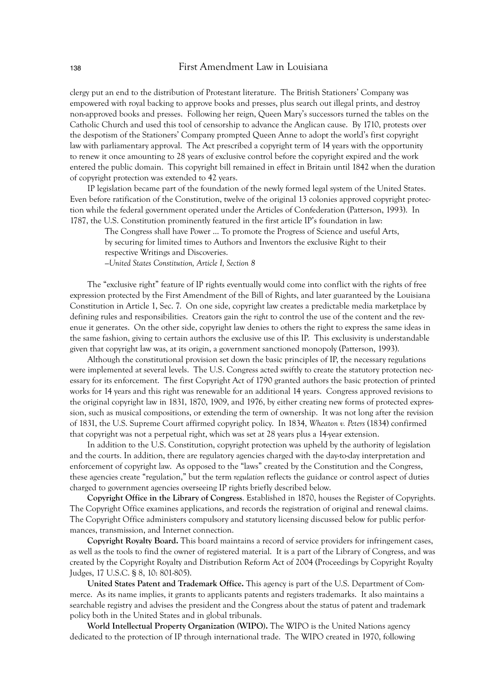clergy put an end to the distribution of Protestant literature. The British Stationers' Company was empowered with royal backing to approve books and presses, plus search out illegal prints, and destroy non-approved books and presses. Following her reign, Queen Mary's successors turned the tables on the Catholic Church and used this tool of censorship to advance the Anglican cause. By 1710, protests over the despotism of the Stationers' Company prompted Queen Anne to adopt the world's first copyright law with parliamentary approval. The Act prescribed a copyright term of 14 years with the opportunity to renew it once amounting to 28 years of exclusive control before the copyright expired and the work entered the public domain. This copyright bill remained in effect in Britain until 1842 when the duration of copyright protection was extended to 42 years.

IP legislation became part of the foundation of the newly formed legal system of the United States. Even before ratification of the Constitution, twelve of the original 13 colonies approved copyright protection while the federal government operated under the Articles of Confederation (Patterson, 1993). In 1787, the U.S. Constitution prominently featured in the first article IP's foundation in law:

The Congress shall have Power ... To promote the Progress of Science and useful Arts, by securing for limited times to Authors and Inventors the exclusive Right to their respective Writings and Discoveries.

*—United States Constitution, Article I, Section 8*

The "exclusive right" feature of IP rights eventually would come into conflict with the rights of free expression protected by the First Amendment of the Bill of Rights, and later guaranteed by the Louisiana Constitution in Article 1, Sec. 7. On one side, copyright law creates a predictable media marketplace by defining rules and responsibilities. Creators gain the *right* to control the use of the content and the revenue it generates. On the other side, copyright law denies to others the right to express the same ideas in the same fashion, giving to certain authors the exclusive use of this IP. This exclusivity is understandable given that copyright law was, at its origin, a government sanctioned monopoly (Patterson, 1993).

Although the constitutional provision set down the basic principles of IP, the necessary regulations were implemented at several levels. The U.S. Congress acted swiftly to create the statutory protection necessary for its enforcement. The first Copyright Act of 1790 granted authors the basic protection of printed works for 14 years and this right was renewable for an additional 14 years. Congress approved revisions to the original copyright law in 1831, 1870, 1909, and 1976, by either creating new forms of protected expression, such as musical compositions, or extending the term of ownership. It was not long after the revision of 1831, the U.S. Supreme Court affirmed copyright policy. In 1834, *Wheaton v. Peters* (1834) confirmed that copyright was not a perpetual right, which was set at 28 years plus a 14-year extension.

In addition to the U.S. Constitution, copyright protection was upheld by the authority of legislation and the courts. In addition, there are regulatory agencies charged with the day-to-day interpretation and enforcement of copyright law. As opposed to the "laws" created by the Constitution and the Congress, these agencies create "regulation," but the term *regulation* reflects the guidance or control aspect of duties charged to government agencies overseeing IP rights briefly described below.

**Copyright Office in the Library of Congress**. Established in 1870, houses the Register of Copyrights. The Copyright Office examines applications, and records the registration of original and renewal claims. The Copyright Office administers compulsory and statutory licensing discussed below for public performances, transmission, and Internet connection.

**Copyright Royalty Board.** This board maintains a record of service providers for infringement cases, as well as the tools to find the owner of registered material. It is a part of the Library of Congress, and was created by the Copyright Royalty and Distribution Reform Act of 2004 (Proceedings by Copyright Royalty Judges, 17 U.S.C. § 8, 10: 801-805).

**United States Patent and Trademark Office.** This agency is part of the U.S. Department of Commerce. As its name implies, it grants to applicants patents and registers trademarks. It also maintains a searchable registry and advises the president and the Congress about the status of patent and trademark policy both in the United States and in global tribunals.

**World Intellectual Property Organization (WIPO).** The WIPO is the United Nations agency dedicated to the protection of IP through international trade. The WIPO created in 1970, following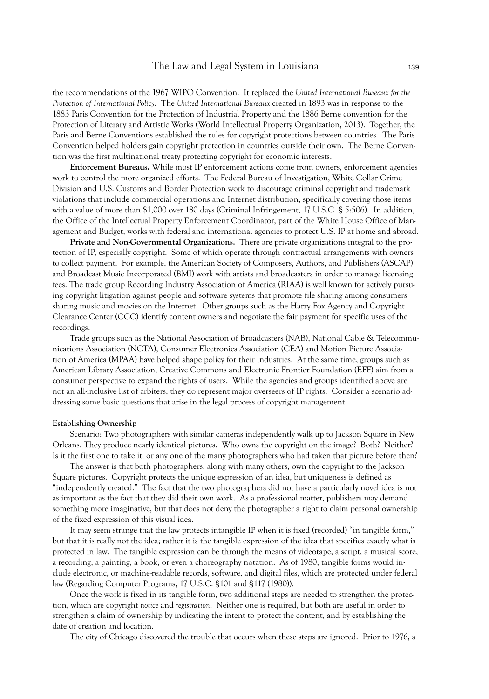the recommendations of the 1967 WIPO Convention. It replaced the *United International Bureaux for the Protection of International Policy*. The *United International Bureaux* created in 1893 was in response to the 1883 Paris Convention for the Protection of Industrial Property and the 1886 Berne convention for the Protection of Literary and Artistic Works (World Intellectual Property Organization, 2013). Together, the Paris and Berne Conventions established the rules for copyright protections between countries. The Paris Convention helped holders gain copyright protection in countries outside their own. The Berne Convention was the first multinational treaty protecting copyright for economic interests.

**Enforcement Bureaus.** While most IP enforcement actions come from owners, enforcement agencies work to control the more organized efforts. The Federal Bureau of Investigation, White Collar Crime Division and U.S. Customs and Border Protection work to discourage criminal copyright and trademark violations that include commercial operations and Internet distribution, specifically covering those items with a value of more than \$1,000 over 180 days (Criminal Infringement, 17 U.S.C. § 5:506). In addition, the Office of the Intellectual Property Enforcement Coordinator, part of the White House Office of Management and Budget, works with federal and international agencies to protect U.S. IP at home and abroad.

**Private and Non-Governmental Organizations.** There are private organizations integral to the protection of IP, especially copyright. Some of which operate through contractual arrangements with owners to collect payment. For example, the American Society of Composers, Authors, and Publishers (ASCAP) and Broadcast Music Incorporated (BMI) work with artists and broadcasters in order to manage licensing fees. The trade group Recording Industry Association of America (RIAA) is well known for actively pursuing copyright litigation against people and software systems that promote file sharing among consumers sharing music and movies on the Internet. Other groups such as the Harry Fox Agency and Copyright Clearance Center (CCC) identify content owners and negotiate the fair payment for specific uses of the recordings.

Trade groups such as the National Association of Broadcasters (NAB), National Cable & Telecommunications Association (NCTA), Consumer Electronics Association (CEA) and Motion Picture Association of America (MPAA) have helped shape policy for their industries. At the same time, groups such as American Library Association, Creative Commons and Electronic Frontier Foundation (EFF) aim from a consumer perspective to expand the rights of users. While the agencies and groups identified above are not an all-inclusive list of arbiters, they do represent major overseers of IP rights. Consider a scenario addressing some basic questions that arise in the legal process of copyright management.

## **Establishing Ownership**

Scenario: Two photographers with similar cameras independently walk up to Jackson Square in New Orleans. They produce nearly identical pictures. Who owns the copyright on the image? Both? Neither? Is it the first one to take it, or any one of the many photographers who had taken that picture before then?

The answer is that both photographers, along with many others, own the copyright to the Jackson Square pictures. Copyright protects the unique expression of an idea, but uniqueness is defined as "independently created." The fact that the two photographers did not have a particularly novel idea is not as important as the fact that they did their own work. As a professional matter, publishers may demand something more imaginative, but that does not deny the photographer a right to claim personal ownership of the fixed expression of this visual idea.

It may seem strange that the law protects intangible IP when it is fixed (recorded) "in tangible form," but that it is really not the idea; rather it is the tangible expression of the idea that specifies exactly what is protected in law. The tangible expression can be through the means of videotape, a script, a musical score, a recording, a painting, a book, or even a choreography notation. As of 1980, tangible forms would include electronic, or machine-readable records, software, and digital files, which are protected under federal law (Regarding Computer Programs, 17 U.S.C. §101 and §117 (1980)).

Once the work is fixed in its tangible form, two additional steps are needed to strengthen the protection, which are copyright *notice* and *registration*. Neither one is required, but both are useful in order to strengthen a claim of ownership by indicating the intent to protect the content, and by establishing the date of creation and location.

The city of Chicago discovered the trouble that occurs when these steps are ignored. Prior to 1976, a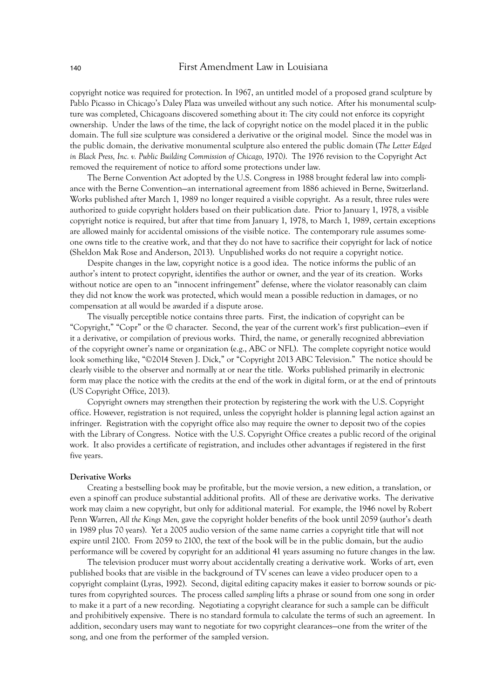copyright notice was required for protection. In 1967, an untitled model of a proposed grand sculpture by Pablo Picasso in Chicago's Daley Plaza was unveiled without any such notice. After his monumental sculpture was completed, Chicagoans discovered something about it: The city could not enforce its copyright ownership. Under the laws of the time, the lack of copyright notice on the model placed it in the public domain. The full size sculpture was considered a derivative or the original model. Since the model was in the public domain, the derivative monumental sculpture also entered the public domain (*The Letter Edged in Black Press, Inc. v. Public Building Commission of Chicago,* 1970*)*. The 1976 revision to the Copyright Act removed the requirement of notice to afford some protections under law.

The Berne Convention Act adopted by the U.S. Congress in 1988 brought federal law into compliance with the Berne Convention—an international agreement from 1886 achieved in Berne, Switzerland. Works published after March 1, 1989 no longer required a visible copyright. As a result, three rules were authorized to guide copyright holders based on their publication date. Prior to January 1, 1978, a visible copyright notice is required, but after that time from January 1, 1978, to March 1, 1989, certain exceptions are allowed mainly for accidental omissions of the visible notice. The contemporary rule assumes someone owns title to the creative work, and that they do not have to sacrifice their copyright for lack of notice (Sheldon Mak Rose and Anderson, 2013). Unpublished works do not require a copyright notice.

Despite changes in the law, copyright notice is a good idea. The notice informs the public of an author's intent to protect copyright, identifies the author or owner, and the year of its creation. Works without notice are open to an "innocent infringement" defense, where the violator reasonably can claim they did not know the work was protected, which would mean a possible reduction in damages, or no compensation at all would be awarded if a dispute arose.

The visually perceptible notice contains three parts. First, the indication of copyright can be "Copyright," "Copr" or the © character. Second, the year of the current work's first publication—even if it a derivative, or compilation of previous works. Third, the name, or generally recognized abbreviation of the copyright owner's name or organization (e.g., ABC or NFL). The complete copyright notice would look something like, "©2014 Steven J. Dick," or "Copyright 2013 ABC Television." The notice should be clearly visible to the observer and normally at or near the title. Works published primarily in electronic form may place the notice with the credits at the end of the work in digital form, or at the end of printouts (US Copyright Office, 2013).

Copyright owners may strengthen their protection by registering the work with the U.S. Copyright office. However, registration is not required, unless the copyright holder is planning legal action against an infringer. Registration with the copyright office also may require the owner to deposit two of the copies with the Library of Congress. Notice with the U.S. Copyright Office creates a public record of the original work. It also provides a certificate of registration, and includes other advantages if registered in the first five years.

#### **Derivative Works**

Creating a bestselling book may be profitable, but the movie version, a new edition, a translation, or even a spinoff can produce substantial additional profits. All of these are derivative works. The derivative work may claim a new copyright, but only for additional material. For example, the 1946 novel by Robert Penn Warren, *All the Kings Men,* gave the copyright holder benefits of the book until 2059 (author's death in 1989 plus 70 years). Yet a 2005 audio version of the same name carries a copyright title that will not expire until 2100. From 2059 to 2100, the text of the book will be in the public domain, but the audio performance will be covered by copyright for an additional 41 years assuming no future changes in the law.

The television producer must worry about accidentally creating a derivative work. Works of art, even published books that are visible in the background of TV scenes can leave a video producer open to a copyright complaint (Lyras, 1992). Second, digital editing capacity makes it easier to borrow sounds or pictures from copyrighted sources. The process called *sampling* lifts a phrase or sound from one song in order to make it a part of a new recording. Negotiating a copyright clearance for such a sample can be difficult and prohibitively expensive. There is no standard formula to calculate the terms of such an agreement. In addition, secondary users may want to negotiate for two copyright clearances—one from the writer of the song, and one from the performer of the sampled version.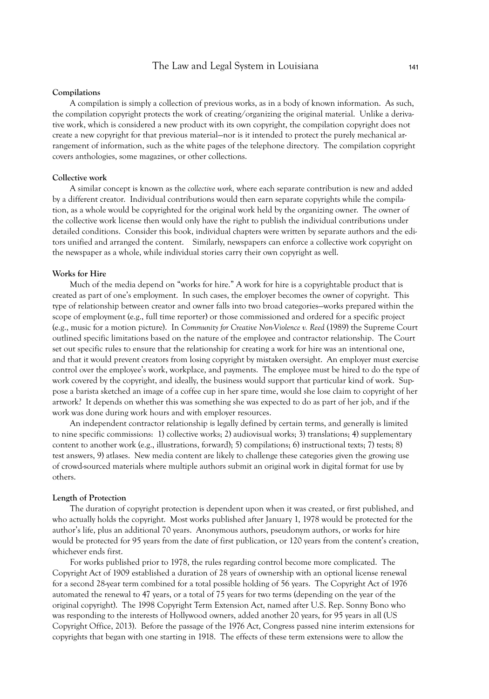#### **Compilations**

A compilation is simply a collection of previous works, as in a body of known information. As such, the compilation copyright protects the work of creating/organizing the original material. Unlike a derivative work, which is considered a new product with its own copyright, the compilation copyright does not create a new copyright for that previous material—nor is it intended to protect the purely mechanical arrangement of information, such as the white pages of the telephone directory. The compilation copyright covers anthologies, some magazines, or other collections.

# **Collective work**

A similar concept is known as the *collective work,* where each separate contribution is new and added by a different creator. Individual contributions would then earn separate copyrights while the compilation, as a whole would be copyrighted for the original work held by the organizing owner. The owner of the collective work license then would only have the right to publish the individual contributions under detailed conditions. Consider this book, individual chapters were written by separate authors and the editors unified and arranged the content. Similarly, newspapers can enforce a collective work copyright on the newspaper as a whole, while individual stories carry their own copyright as well.

#### **Works for Hire**

Much of the media depend on "works for hire." A work for hire is a copyrightable product that is created as part of one's employment. In such cases, the employer becomes the owner of copyright. This type of relationship between creator and owner falls into two broad categories—works prepared within the scope of employment (e.g., full time reporter) or those commissioned and ordered for a specific project (e.g., music for a motion picture). In *Community for Creative Non-Violence v. Reed* (1989) the Supreme Court outlined specific limitations based on the nature of the employee and contractor relationship. The Court set out specific rules to ensure that the relationship for creating a work for hire was an intentional one, and that it would prevent creators from losing copyright by mistaken oversight. An employer must exercise control over the employee's work, workplace, and payments. The employee must be hired to do the type of work covered by the copyright, and ideally, the business would support that particular kind of work. Suppose a barista sketched an image of a coffee cup in her spare time, would she lose claim to copyright of her artwork? It depends on whether this was something she was expected to do as part of her job, and if the work was done during work hours and with employer resources.

An independent contractor relationship is legally defined by certain terms, and generally is limited to nine specific commissions: 1) collective works; 2) audiovisual works; 3) translations; 4) supplementary content to another work (e.g., illustrations, forward); 5) compilations; 6) instructional texts; 7) tests; 8) test answers, 9) atlases. New media content are likely to challenge these categories given the growing use of crowd-sourced materials where multiple authors submit an original work in digital format for use by others.

#### **Length of Protection**

The duration of copyright protection is dependent upon when it was created, or first published, and who actually holds the copyright. Most works published after January 1, 1978 would be protected for the author's life, plus an additional 70 years. Anonymous authors, pseudonym authors, or works for hire would be protected for 95 years from the date of first publication, or 120 years from the content's creation, whichever ends first.

For works published prior to 1978, the rules regarding control become more complicated. The Copyright Act of 1909 established a duration of 28 years of ownership with an optional license renewal for a second 28-year term combined for a total possible holding of 56 years. The Copyright Act of 1976 automated the renewal to 47 years, or a total of 75 years for two terms (depending on the year of the original copyright). The 1998 Copyright Term Extension Act, named after U.S. Rep. Sonny Bono who was responding to the interests of Hollywood owners, added another 20 years, for 95 years in all (US Copyright Office, 2013). Before the passage of the 1976 Act, Congress passed nine interim extensions for copyrights that began with one starting in 1918. The effects of these term extensions were to allow the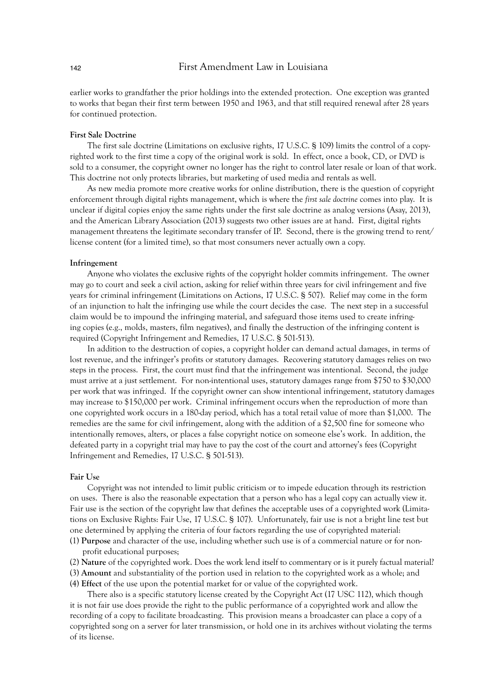earlier works to grandfather the prior holdings into the extended protection. One exception was granted to works that began their first term between 1950 and 1963, and that still required renewal after 28 years for continued protection.

## **First Sale Doctrine**

The first sale doctrine (Limitations on exclusive rights, 17 U.S.C. § 109) limits the control of a copyrighted work to the first time a copy of the original work is sold. In effect, once a book, CD, or DVD is sold to a consumer, the copyright owner no longer has the right to control later resale or loan of that work. This doctrine not only protects libraries, but marketing of used media and rentals as well.

As new media promote more creative works for online distribution, there is the question of copyright enforcement through digital rights management, which is where the *first sale doctrine* comes into play. It is unclear if digital copies enjoy the same rights under the first sale doctrine as analog versions (Asay, 2013), and the American Library Association (2013) suggests two other issues are at hand. First, digital rights management threatens the legitimate secondary transfer of IP. Second, there is the growing trend to rent/ license content (for a limited time), so that most consumers never actually own a copy.

# **Infringement**

Anyone who violates the exclusive rights of the copyright holder commits infringement. The owner may go to court and seek a civil action, asking for relief within three years for civil infringement and five years for criminal infringement (Limitations on Actions, 17 U.S.C. § 507). Relief may come in the form of an injunction to halt the infringing use while the court decides the case. The next step in a successful claim would be to impound the infringing material, and safeguard those items used to create infringing copies (e.g., molds, masters, film negatives), and finally the destruction of the infringing content is required (Copyright Infringement and Remedies, 17 U.S.C. § 501-513).

In addition to the destruction of copies, a copyright holder can demand actual damages, in terms of lost revenue, and the infringer's profits or statutory damages. Recovering statutory damages relies on two steps in the process. First, the court must find that the infringement was intentional. Second, the judge must arrive at a just settlement. For non-intentional uses, statutory damages range from \$750 to \$30,000 per work that was infringed. If the copyright owner can show intentional infringement, statutory damages may increase to \$150,000 per work. Criminal infringement occurs when the reproduction of more than one copyrighted work occurs in a 180-day period, which has a total retail value of more than \$1,000. The remedies are the same for civil infringement, along with the addition of a \$2,500 fine for someone who intentionally removes, alters, or places a false copyright notice on someone else's work. In addition, the defeated party in a copyright trial may have to pay the cost of the court and attorney's fees (Copyright Infringement and Remedies, 17 U.S.C. § 501-513).

# **Fair Use**

Copyright was not intended to limit public criticism or to impede education through its restriction on uses. There is also the reasonable expectation that a person who has a legal copy can actually view it. Fair use is the section of the copyright law that defines the acceptable uses of a copyrighted work (Limitations on Exclusive Rights: Fair Use, 17 U.S.C. § 107). Unfortunately, fair use is not a bright line test but one determined by applying the criteria of four factors regarding the use of copyrighted material:

- (1) **Purpose** and character of the use, including whether such use is of a commercial nature or for nonprofit educational purposes;
- (2) **Nature** of the copyrighted work. Does the work lend itself to commentary or is it purely factual material?
- (3) **Amount** and substantiality of the portion used in relation to the copyrighted work as a whole; and
- (4) **Effect** of the use upon the potential market for or value of the copyrighted work.

There also is a specific statutory license created by the Copyright Act (17 USC 112), which though it is not fair use does provide the right to the public performance of a copyrighted work and allow the recording of a copy to facilitate broadcasting. This provision means a broadcaster can place a copy of a copyrighted song on a server for later transmission, or hold one in its archives without violating the terms of its license.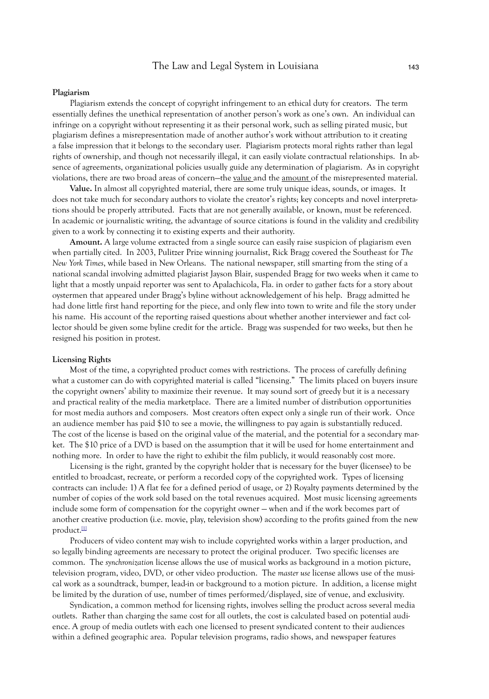#### **Plagiarism**

Plagiarism extends the concept of copyright infringement to an ethical duty for creators. The term essentially defines the unethical representation of another person's work as one's own. An individual can infringe on a copyright without representing it as their personal work, such as selling pirated music, but plagiarism defines a misrepresentation made of another author's work without attribution to it creating a false impression that it belongs to the secondary user. Plagiarism protects moral rights rather than legal rights of ownership, and though not necessarily illegal, it can easily violate contractual relationships. In absence of agreements, organizational policies usually guide any determination of plagiarism. As in copyright violations, there are two broad areas of concern-the value and the amount of the misrepresented material.

**Value.** In almost all copyrighted material, there are some truly unique ideas, sounds, or images. It does not take much for secondary authors to violate the creator's rights; key concepts and novel interpretations should be properly attributed. Facts that are not generally available, or known, must be referenced. In academic or journalistic writing, the advantage of source citations is found in the validity and credibility given to a work by connecting it to existing experts and their authority.

**Amount.** A large volume extracted from a single source can easily raise suspicion of plagiarism even when partially cited. In 2003, Pulitzer Prize winning journalist, Rick Bragg covered the Southeast for *The New York Times*, while based in New Orleans. The national newspaper*,* still smarting from the sting of a national scandal involving admitted plagiarist Jayson Blair, suspended Bragg for two weeks when it came to light that a mostly unpaid reporter was sent to Apalachicola, Fla. in order to gather facts for a story about oystermen that appeared under Bragg's byline without acknowledgement of his help. Bragg admitted he had done little first hand reporting for the piece, and only flew into town to write and file the story under his name. His account of the reporting raised questions about whether another interviewer and fact collector should be given some byline credit for the article. Bragg was suspended for two weeks, but then he resigned his position in protest.

# **Licensing Rights**

Most of the time, a copyrighted product comes with restrictions. The process of carefully defining what a customer can do with copyrighted material is called "licensing." The limits placed on buyers insure the copyright owners' ability to maximize their revenue. It may sound sort of greedy but it is a necessary and practical reality of the media marketplace. There are a limited number of distribution opportunities for most media authors and composers. Most creators often expect only a single run of their work. Once an audience member has paid \$10 to see a movie, the willingness to pay again is substantially reduced. The cost of the license is based on the original value of the material, and the potential for a secondary market. The \$10 price of a DVD is based on the assumption that it will be used for home entertainment and nothing more. In order to have the right to exhibit the film publicly, it would reasonably cost more.

Licensing is the right, granted by the copyright holder that is necessary for the buyer (licensee) to be entitled to broadcast, recreate, or perform a recorded copy of the copyrighted work. Types of licensing contracts can include: 1) A flat fee for a defined period of usage, or 2) Royalty payments determined by the number of copies of the work sold based on the total revenues acquired. Most music licensing agreements include some form of compensation for the copyright owner — when and if the work becomes part of another creative production (i.e. movie, play, television show) according to the profits gained from the new product. $\mathbb{H}$ 

Producers of video content may wish to include copyrighted works within a larger production, and so legally binding agreements are necessary to protect the original producer. Two specific licenses are common. The *synchronization* license allows the use of musical works as background in a motion picture, television program, video, DVD, or other video production. The *master use* license allows use of the musical work as a soundtrack, bumper, lead-in or background to a motion picture. In addition, a license might be limited by the duration of use, number of times performed/displayed, size of venue, and exclusivity.

Syndication, a common method for licensing rights, involves selling the product across several media outlets. Rather than charging the same cost for all outlets, the cost is calculated based on potential audience. A group of media outlets with each one licensed to present syndicated content to their audiences within a defined geographic area. Popular television programs, radio shows, and newspaper features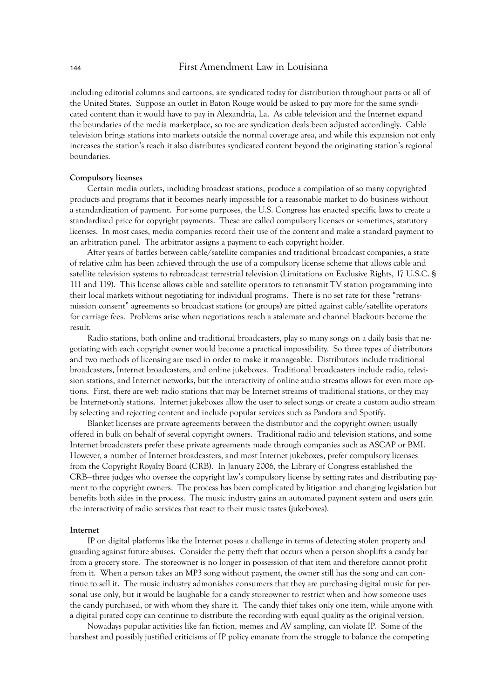including editorial columns and cartoons, are syndicated today for distribution throughout parts or all of the United States. Suppose an outlet in Baton Rouge would be asked to pay more for the same syndicated content than it would have to pay in Alexandria, La. As cable television and the Internet expand the boundaries of the media marketplace, so too are syndication deals been adjusted accordingly. Cable television brings stations into markets outside the normal coverage area, and while this expansion not only increases the station's reach it also distributes syndicated content beyond the originating station's regional boundaries.

## **Compulsory licenses**

Certain media outlets, including broadcast stations, produce a compilation of so many copyrighted products and programs that it becomes nearly impossible for a reasonable market to do business without a standardization of payment. For some purposes, the U.S. Congress has enacted specific laws to create a standardized price for copyright payments. These are called compulsory licenses or sometimes, statutory licenses. In most cases, media companies record their use of the content and make a standard payment to an arbitration panel. The arbitrator assigns a payment to each copyright holder.

After years of battles between cable/satellite companies and traditional broadcast companies, a state of relative calm has been achieved through the use of a compulsory license scheme that allows cable and satellite television systems to rebroadcast terrestrial television (Limitations on Exclusive Rights, 17 U.S.C. § 111 and 119). This license allows cable and satellite operators to retransmit TV station programming into their local markets without negotiating for individual programs. There is no set rate for these "retransmission consent" agreements so broadcast stations (or groups) are pitted against cable/satellite operators for carriage fees. Problems arise when negotiations reach a stalemate and channel blackouts become the result.

Radio stations, both online and traditional broadcasters, play so many songs on a daily basis that negotiating with each copyright owner would become a practical impossibility. So three types of distributors and two methods of licensing are used in order to make it manageable. Distributors include traditional broadcasters, Internet broadcasters, and online jukeboxes. Traditional broadcasters include radio, television stations, and Internet networks, but the interactivity of online audio streams allows for even more options. First, there are web radio stations that may be Internet streams of traditional stations, or they may be Internet-only stations. Internet jukeboxes allow the user to select songs or create a custom audio stream by selecting and rejecting content and include popular services such as Pandora and Spotify.

Blanket licenses are private agreements between the distributor and the copyright owner; usually offered in bulk on behalf of several copyright owners. Traditional radio and television stations, and some Internet broadcasters prefer these private agreements made through companies such as ASCAP or BMI. However, a number of Internet broadcasters, and most Internet jukeboxes, prefer compulsory licenses from the Copyright Royalty Board (CRB). In January 2006, the Library of Congress established the CRB—three judges who oversee the copyright law's compulsory license by setting rates and distributing payment to the copyright owners. The process has been complicated by litigation and changing legislation but benefits both sides in the process. The music industry gains an automated payment system and users gain the interactivity of radio services that react to their music tastes (jukeboxes).

#### **Internet**

IP on digital platforms like the Internet poses a challenge in terms of detecting stolen property and guarding against future abuses. Consider the petty theft that occurs when a person shoplifts a candy bar from a grocery store. The storeowner is no longer in possession of that item and therefore cannot profit from it. When a person takes an MP3 song without payment, the owner still has the song and can continue to sell it. The music industry admonishes consumers that they are purchasing digital music for personal use only, but it would be laughable for a candy storeowner to restrict when and how someone uses the candy purchased, or with whom they share it. The candy thief takes only one item, while anyone with a digital pirated copy can continue to distribute the recording with equal quality as the original version.

Nowadays popular activities like fan fiction, memes and AV sampling, can violate IP. Some of the harshest and possibly justified criticisms of IP policy emanate from the struggle to balance the competing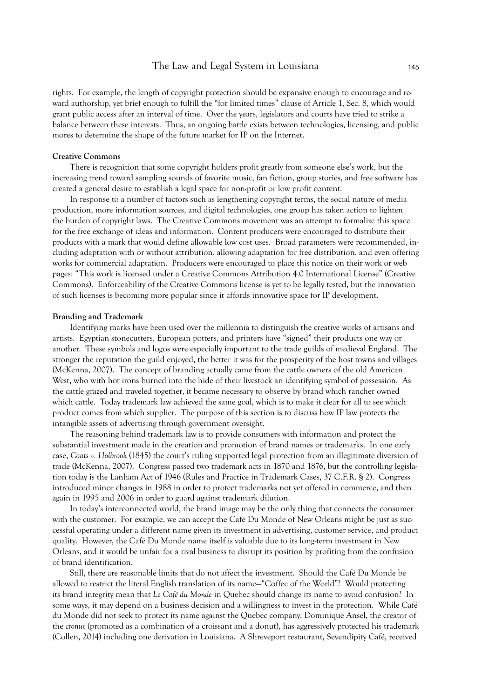rights. For example, the length of copyright protection should be expansive enough to encourage and reward authorship, yet brief enough to fulfill the "for limited times" clause of Article 1, Sec. 8, which would grant public access after an interval of time. Over the years, legislators and courts have tried to strike a balance between these interests. Thus, an ongoing battle exists between technologies, licensing, and public mores to determine the shape of the future market for IP on the Internet.

## **Creative Commons**

There is recognition that some copyright holders profit greatly from someone else's work, but the increasing trend toward sampling sounds of favorite music, fan fiction, group stories, and free software has created a general desire to establish a legal space for non-profit or low profit content.

In response to a number of factors such as lengthening copyright terms, the social nature of media production, more information sources, and digital technologies, one group has taken action to lighten the burden of copyright laws. The Creative Commons movement was an attempt to formalize this space for the free exchange of ideas and information. Content producers were encouraged to distribute their products with a mark that would define allowable low cost uses. Broad parameters were recommended, including adaptation with or without attribution, allowing adaptation for free distribution, and even offering works for commercial adaptation. Producers were encouraged to place this notice on their work or web pages: "This work is licensed under a Creative Commons Attribution 4.0 International License" (Creative Commons). Enforceability of the Creative Commons license is yet to be legally tested, but the innovation of such licenses is becoming more popular since it affords innovative space for IP development.

## **Branding and Trademark**

Identifying marks have been used over the millennia to distinguish the creative works of artisans and artists. Egyptian stonecutters, European potters, and printers have "signed" their products one way or another. These symbols and logos were especially important to the trade guilds of medieval England. The stronger the reputation the guild enjoyed, the better it was for the prosperity of the host towns and villages (McKenna, 2007). The concept of branding actually came from the cattle owners of the old American West, who with hot irons burned into the hide of their livestock an identifying symbol of possession. As the cattle grazed and traveled together, it became necessary to observe by brand which rancher owned which cattle. Today trademark law achieved the same goal, which is to make it clear for all to see which product comes from which supplier. The purpose of this section is to discuss how IP law protects the intangible assets of advertising through government oversight.

The reasoning behind trademark law is to provide consumers with information and protect the substantial investment made in the creation and promotion of brand names or trademarks. In one early case, *Coats v. Holbrook* (1845) the court's ruling supported legal protection from an illegitimate diversion of trade (McKenna, 2007). Congress passed two trademark acts in 1870 and 1876, but the controlling legislation today is the Lanham Act of 1946 (Rules and Practice in Trademark Cases, 37 C.F.R. § 2). Congress introduced minor changes in 1988 in order to protect trademarks not yet offered in commerce, and then again in 1995 and 2006 in order to guard against trademark dilution.

In today's interconnected world, the brand image may be the only thing that connects the consumer with the customer. For example, we can accept the Café Du Monde of New Orleans might be just as successful operating under a different name given its investment in advertising, customer service, and product quality. However, the Café Du Monde name itself is valuable due to its long-term investment in New Orleans, and it would be unfair for a rival business to disrupt its position by profiting from the confusion of brand identification.

Still, there are reasonable limits that do not affect the investment. Should the Café Du Monde be allowed to restrict the literal English translation of its name—"Coffee of the World"? Would protecting its brand integrity mean that *Le Café du Monde* in Quebec should change its name to avoid confusion? In some ways, it may depend on a business decision and a willingness to invest in the protection. While Café du Monde did not seek to protect its name against the Quebec company, Dominique Ansel, the creator of the *cronut* (promoted as a combination of a croissant and a donut), has aggressively protected his trademark (Collen, 2014) including one derivation in Louisiana. A Shreveport restaurant, Sevendipity Café, received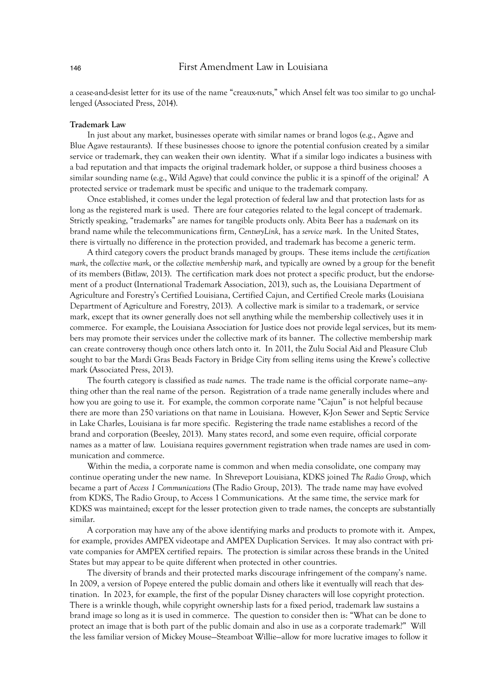a cease-and-desist letter for its use of the name "creaux-nuts," which Ansel felt was too similar to go unchallenged (Associated Press, 2014).

#### **Trademark Law**

In just about any market, businesses operate with similar names or brand logos (e.g., Agave and Blue Agave restaurants). If these businesses choose to ignore the potential confusion created by a similar service or trademark, they can weaken their own identity. What if a similar logo indicates a business with a bad reputation and that impacts the original trademark holder, or suppose a third business chooses a similar sounding name (e.g., Wild Agave) that could convince the public it is a spinoff of the original? A protected service or trademark must be specific and unique to the trademark company.

Once established, it comes under the legal protection of federal law and that protection lasts for as long as the registered mark is used. There are four categories related to the legal concept of trademark. Strictly speaking, "trademarks" are names for tangible products only. Abita Beer has a *trademark* on its brand name while the telecommunications firm, *CenturyLink,* has a *service mark*. In the United States, there is virtually no difference in the protection provided, and trademark has become a generic term.

A third category covers the product brands managed by groups. These items include the *certification mark*, the *collective mark*, or the *collective membership mark*, and typically are owned by a group for the benefit of its members (Bitlaw, 2013). The certification mark does not protect a specific product, but the endorsement of a product (International Trademark Association, 2013), such as, the Louisiana Department of Agriculture and Forestry's Certified Louisiana, Certified Cajun, and Certified Creole marks (Louisiana Department of Agriculture and Forestry, 2013). A collective mark is similar to a trademark, or service mark, except that its owner generally does not sell anything while the membership collectively uses it in commerce. For example, the Louisiana Association for Justice does not provide legal services, but its members may promote their services under the collective mark of its banner. The collective membership mark can create controversy though once others latch onto it. In 2011, the Zulu Social Aid and Pleasure Club sought to bar the Mardi Gras Beads Factory in Bridge City from selling items using the Krewe's collective mark (Associated Press, 2013).

The fourth category is classified as *trade names*. The trade name is the official corporate name—anything other than the real name of the person. Registration of a trade name generally includes where and how you are going to use it. For example, the common corporate name "Cajun" is not helpful because there are more than 250 variations on that name in Louisiana. However, K-Jon Sewer and Septic Service in Lake Charles, Louisiana is far more specific. Registering the trade name establishes a record of the brand and corporation (Beesley, 2013). Many states record, and some even require, official corporate names as a matter of law. Louisiana requires government registration when trade names are used in communication and commerce.

Within the media, a corporate name is common and when media consolidate, one company may continue operating under the new name. In Shreveport Louisiana, KDKS joined *The Radio Group*, which became a part of *Access 1 Communications* (The Radio Group, 2013). The trade name may have evolved from KDKS, The Radio Group, to Access 1 Communications. At the same time, the service mark for KDKS was maintained; except for the lesser protection given to trade names, the concepts are substantially similar.

A corporation may have any of the above identifying marks and products to promote with it. Ampex, for example, provides AMPEX videotape and AMPEX Duplication Services. It may also contract with private companies for AMPEX certified repairs. The protection is similar across these brands in the United States but may appear to be quite different when protected in other countries.

The diversity of brands and their protected marks discourage infringement of the company's name. In 2009, a version of Popeye entered the public domain and others like it eventually will reach that destination. In 2023, for example, the first of the popular Disney characters will lose copyright protection. There is a wrinkle though, while copyright ownership lasts for a fixed period, trademark law sustains a brand image so long as it is used in commerce. The question to consider then is: "What can be done to protect an image that is both part of the public domain and also in use as a corporate trademark?" Will the less familiar version of Mickey Mouse—Steamboat Willie—allow for more lucrative images to follow it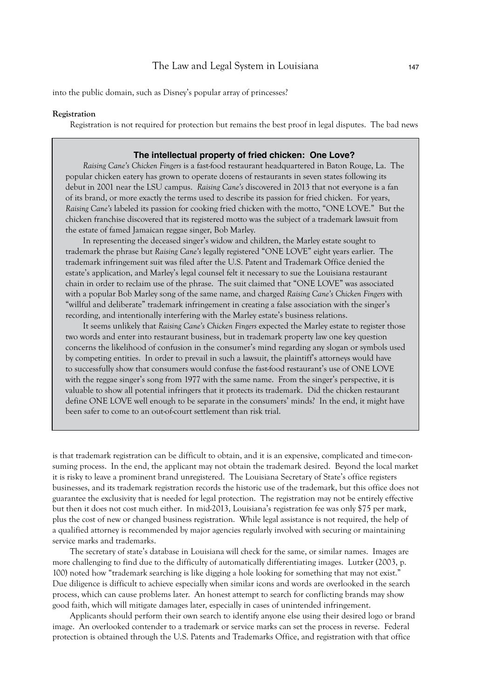into the public domain, such as Disney's popular array of princesses?

#### **Registration**

Registration is not required for protection but remains the best proof in legal disputes. The bad news

# **The intellectual property of fried chicken: One Love?**

*Raising Cane's Chicken Fingers* is a fast-food restaurant headquartered in Baton Rouge, La. The popular chicken eatery has grown to operate dozens of restaurants in seven states following its debut in 2001 near the LSU campus. *Raising Cane's* discovered in 2013 that not everyone is a fan of its brand, or more exactly the terms used to describe its passion for fried chicken. For years, *Raising Cane's* labeled its passion for cooking fried chicken with the motto, "ONE LOVE." But the chicken franchise discovered that its registered motto was the subject of a trademark lawsuit from the estate of famed Jamaican reggae singer, Bob Marley.

In representing the deceased singer's widow and children, the Marley estate sought to trademark the phrase but *Raising Cane's* legally registered "ONE LOVE" eight years earlier. The trademark infringement suit was filed after the U.S. Patent and Trademark Office denied the estate's application, and Marley's legal counsel felt it necessary to sue the Louisiana restaurant chain in order to reclaim use of the phrase. The suit claimed that "ONE LOVE" was associated with a popular Bob Marley song of the same name, and charged *Raising Cane's Chicken Fingers* with "willful and deliberate" trademark infringement in creating a false association with the singer's recording, and intentionally interfering with the Marley estate's business relations.

It seems unlikely that *Raising Cane's Chicken Fingers* expected the Marley estate to register those two words and enter into restaurant business, but in trademark property law one key question concerns the likelihood of confusion in the consumer's mind regarding any slogan or symbols used by competing entities. In order to prevail in such a lawsuit, the plaintiff's attorneys would have to successfully show that consumers would confuse the fast-food restaurant's use of ONE LOVE with the reggae singer's song from 1977 with the same name. From the singer's perspective, it is valuable to show all potential infringers that it protects its trademark. Did the chicken restaurant define ONE LOVE well enough to be separate in the consumers' minds? In the end, it might have been safer to come to an out-of-court settlement than risk trial.

is that trademark registration can be difficult to obtain, and it is an expensive, complicated and time-consuming process. In the end, the applicant may not obtain the trademark desired. Beyond the local market it is risky to leave a prominent brand unregistered. The Louisiana Secretary of State's office registers businesses, and its trademark registration records the historic use of the trademark, but this office does not guarantee the exclusivity that is needed for legal protection. The registration may not be entirely effective but then it does not cost much either. In mid-2013, Louisiana's registration fee was only \$75 per mark, plus the cost of new or changed business registration. While legal assistance is not required, the help of a qualified attorney is recommended by major agencies regularly involved with securing or maintaining service marks and trademarks.

The secretary of state's database in Louisiana will check for the same, or similar names. Images are more challenging to find due to the difficulty of automatically differentiating images. Lutzker (2003, p. 100) noted how "trademark searching is like digging a hole looking for something that may not exist." Due diligence is difficult to achieve especially when similar icons and words are overlooked in the search process, which can cause problems later. An honest attempt to search for conflicting brands may show good faith, which will mitigate damages later, especially in cases of unintended infringement.

Applicants should perform their own search to identify anyone else using their desired logo or brand image. An overlooked contender to a trademark or service marks can set the process in reverse. Federal protection is obtained through the U.S. Patents and Trademarks Office, and registration with that office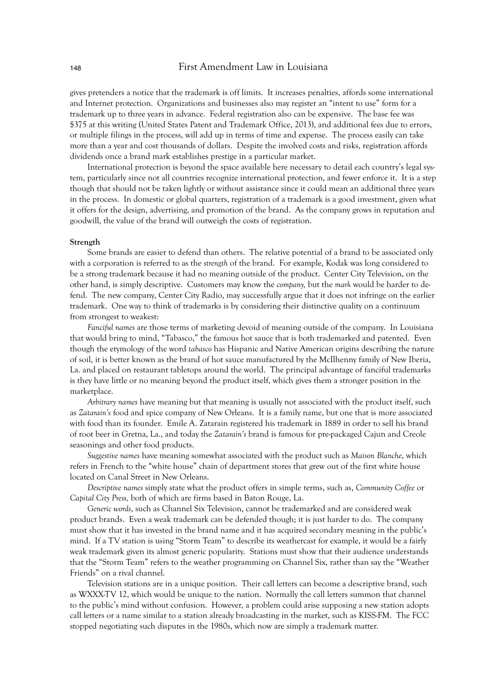gives pretenders a notice that the trademark is off limits. It increases penalties, affords some international and Internet protection. Organizations and businesses also may register an "intent to use" form for a trademark up to three years in advance. Federal registration also can be expensive. The base fee was \$375 at this writing (United States Patent and Trademark Office, 2013), and additional fees due to errors, or multiple filings in the process, will add up in terms of time and expense. The process easily can take more than a year and cost thousands of dollars. Despite the involved costs and risks, registration affords dividends once a brand mark establishes prestige in a particular market.

International protection is beyond the space available here necessary to detail each country's legal system, particularly since not all countries recognize international protection, and fewer enforce it. It is a step though that should not be taken lightly or without assistance since it could mean an additional three years in the process. In domestic or global quarters, registration of a trademark is a good investment, given what it offers for the design, advertising, and promotion of the brand. As the company grows in reputation and goodwill, the value of the brand will outweigh the costs of registration.

#### **Strength**

Some brands are easier to defend than others. The relative potential of a brand to be associated only with a corporation is referred to as the *strength* of the brand. For example, Kodak was long considered to be a strong trademark because it had no meaning outside of the product. Center City Television, on the other hand, is simply descriptive. Customers may know the *company,* but the *mark* would be harder to defend. The new company, Center City Radio, may successfully argue that it does not infringe on the earlier trademark. One way to think of trademarks is by considering their distinctive quality on a continuum from strongest to weakest:

*Fanciful names* are those terms of marketing devoid of meaning outside of the company. In Louisiana that would bring to mind, "Tabasco," the famous hot sauce that is both trademarked and patented. Even though the etymology of the word *tabasco* has Hispanic and Native American origins describing the nature of soil, it is better known as the brand of hot sauce manufactured by the McIlhenny family of New Iberia, La. and placed on restaurant tabletops around the world. The principal advantage of fanciful trademarks is they have little or no meaning beyond the product itself, which gives them a stronger position in the marketplace.

*Arbitrary names* have meaning but that meaning is usually not associated with the product itself, such as *Zatarain's* food and spice company of New Orleans. It is a family name, but one that is more associated with food than its founder. Emile A. Zatarain registered his trademark in 1889 in order to sell his brand of root beer in Gretna, La., and today the *Zatarain's* brand is famous for pre-packaged Cajun and Creole seasonings and other food products.

*Suggestive names* have meaning somewhat associated with the product such as *Maison Blanche*, which refers in French to the "white house" chain of department stores that grew out of the first white house located on Canal Street in New Orleans.

*Descriptive names* simply state what the product offers in simple terms, such as, *Community Coffee* or *Capital City Press,* both of which are firms based in Baton Rouge, La.

*Generic words*, such as Channel Six Television, cannot be trademarked and are considered weak product brands. Even a weak trademark can be defended though; it is just harder to do. The company must show that it has invested in the brand name and it has acquired secondary meaning in the public's mind. If a TV station is using "Storm Team" to describe its weathercast for example, it would be a fairly weak trademark given its almost generic popularity. Stations must show that their audience understands that the "Storm Team" refers to the weather programming on Channel Six, rather than say the "Weather Friends" on a rival channel.

Television stations are in a unique position. Their call letters can become a descriptive brand, such as WXXX-TV 12, which would be unique to the nation. Normally the call letters summon that channel to the public's mind without confusion. However, a problem could arise supposing a new station adopts call letters or a name similar to a station already broadcasting in the market, such as KISS-FM. The FCC stopped negotiating such disputes in the 1980s, which now are simply a trademark matter.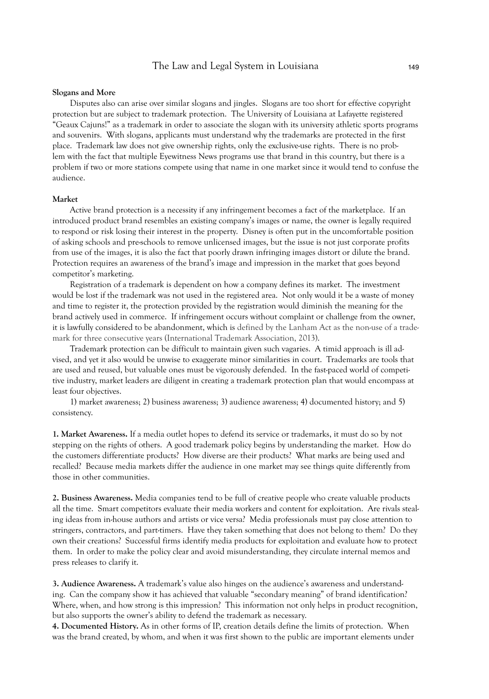#### **Slogans and More**

Disputes also can arise over similar slogans and jingles. Slogans are too short for effective copyright protection but are subject to trademark protection. The University of Louisiana at Lafayette registered "Geaux Cajuns!" as a trademark in order to associate the slogan with its university athletic sports programs and souvenirs. With slogans, applicants must understand why the trademarks are protected in the first place. Trademark law does not give ownership rights, only the exclusive-use rights. There is no problem with the fact that multiple Eyewitness News programs use that brand in this country, but there is a problem if two or more stations compete using that name in one market since it would tend to confuse the audience.

### **Market**

Active brand protection is a necessity if any infringement becomes a fact of the marketplace. If an introduced product brand resembles an existing company's images or name, the owner is legally required to respond or risk losing their interest in the property. Disney is often put in the uncomfortable position of asking schools and pre-schools to remove unlicensed images, but the issue is not just corporate profits from use of the images, it is also the fact that poorly drawn infringing images distort or dilute the brand. Protection requires an awareness of the brand's image and impression in the market that goes beyond competitor's marketing.

Registration of a trademark is dependent on how a company defines its market. The investment would be lost if the trademark was not used in the registered area. Not only would it be a waste of money and time to register it, the protection provided by the registration would diminish the meaning for the brand actively used in commerce. If infringement occurs without complaint or challenge from the owner, it is lawfully considered to be abandonment, which is defined by the Lanham Act as the non-use of a trademark for three consecutive years (International Trademark Association, 2013).

Trademark protection can be difficult to maintain given such vagaries. A timid approach is ill advised, and yet it also would be unwise to exaggerate minor similarities in court. Trademarks are tools that are used and reused, but valuable ones must be vigorously defended. In the fast-paced world of competitive industry, market leaders are diligent in creating a trademark protection plan that would encompass at least four objectives.

1) market awareness; 2) business awareness; 3) audience awareness; 4) documented history; and 5) consistency.

**1. Market Awareness.** If a media outlet hopes to defend its service or trademarks, it must do so by not stepping on the rights of others. A good trademark policy begins by understanding the market. How do the customers differentiate products? How diverse are their products? What marks are being used and recalled? Because media markets differ the audience in one market may see things quite differently from those in other communities.

**2. Business Awareness.** Media companies tend to be full of creative people who create valuable products all the time. Smart competitors evaluate their media workers and content for exploitation. Are rivals stealing ideas from in-house authors and artists or vice versa? Media professionals must pay close attention to stringers, contractors, and part-timers. Have they taken something that does not belong to them? Do they own their creations? Successful firms identify media products for exploitation and evaluate how to protect them. In order to make the policy clear and avoid misunderstanding, they circulate internal memos and press releases to clarify it.

**3. Audience Awareness.** A trademark's value also hinges on the audience's awareness and understanding. Can the company show it has achieved that valuable "secondary meaning" of brand identification? Where, when, and how strong is this impression? This information not only helps in product recognition, but also supports the owner's ability to defend the trademark as necessary.

**4. Documented History.** As in other forms of IP, creation details define the limits of protection. When was the brand created, by whom, and when it was first shown to the public are important elements under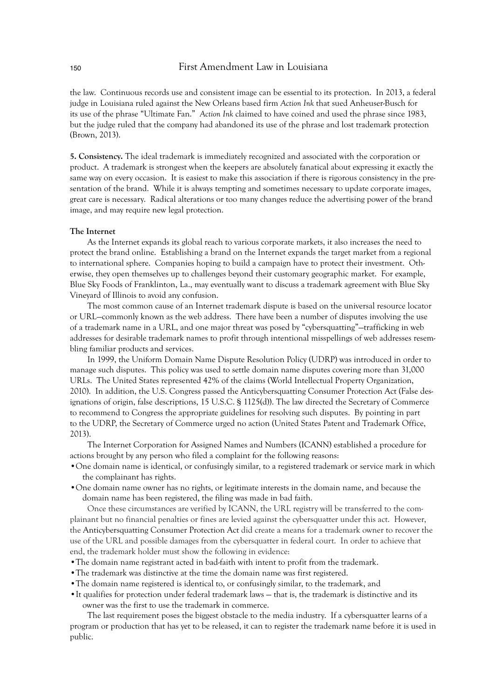the law. Continuous records use and consistent image can be essential to its protection. In 2013, a federal judge in Louisiana ruled against the New Orleans based firm *Action Ink* that sued Anheuser-Busch for its use of the phrase "Ultimate Fan." *Action Ink* claimed to have coined and used the phrase since 1983, but the judge ruled that the company had abandoned its use of the phrase and lost trademark protection (Brown, 2013).

**5. Consistency.** The ideal trademark is immediately recognized and associated with the corporation or product. A trademark is strongest when the keepers are absolutely fanatical about expressing it exactly the same way on every occasion. It is easiest to make this association if there is rigorous consistency in the presentation of the brand. While it is always tempting and sometimes necessary to update corporate images, great care is necessary. Radical alterations or too many changes reduce the advertising power of the brand image, and may require new legal protection.

# **The Internet**

As the Internet expands its global reach to various corporate markets, it also increases the need to protect the brand online. Establishing a brand on the Internet expands the target market from a regional to international sphere. Companies hoping to build a campaign have to protect their investment. Otherwise, they open themselves up to challenges beyond their customary geographic market. For example, Blue Sky Foods of Franklinton, La., may eventually want to discuss a trademark agreement with Blue Sky Vineyard of Illinois to avoid any confusion.

The most common cause of an Internet trademark dispute is based on the universal resource locator or URL—commonly known as the web address. There have been a number of disputes involving the use of a trademark name in a URL, and one major threat was posed by "cybersquatting"—trafficking in web addresses for desirable trademark names to profit through intentional misspellings of web addresses resembling familiar products and services.

In 1999, the Uniform Domain Name Dispute Resolution Policy (UDRP) was introduced in order to manage such disputes. This policy was used to settle domain name disputes covering more than 31,000 URLs. The United States represented 42% of the claims (World Intellectual Property Organization, 2010). In addition, the U.S. Congress passed the Anticybersquatting Consumer Protection Act (False designations of origin, false descriptions, 15 U.S.C. § 1125(d)). The law directed the Secretary of Commerce to recommend to Congress the appropriate guidelines for resolving such disputes. By pointing in part to the UDRP, the Secretary of Commerce urged no action (United States Patent and Trademark Office, 2013).

The Internet Corporation for Assigned Names and Numbers (ICANN) established a procedure for actions brought by any person who filed a complaint for the following reasons:

- •One domain name is identical, or confusingly similar, to a registered trademark or service mark in which the complainant has rights.
- •One domain name owner has no rights, or legitimate interests in the domain name, and because the domain name has been registered, the filing was made in bad faith.

Once these circumstances are verified by ICANN, the URL registry will be transferred to the complainant but no financial penalties or fines are levied against the cybersquatter under this act. However, the Anticybersquatting Consumer Protection Act did create a means for a trademark owner to recover the use of the URL and possible damages from the cybersquatter in federal court. In order to achieve that end, the trademark holder must show the following in evidence:

- •The domain name registrant acted in bad-faith with intent to profit from the trademark.
- •The trademark was distinctive at the time the domain name was first registered.
- •The domain name registered is identical to, or confusingly similar, to the trademark, and
- •It qualifies for protection under federal trademark laws that is, the trademark is distinctive and its owner was the first to use the trademark in commerce.

The last requirement poses the biggest obstacle to the media industry. If a cybersquatter learns of a program or production that has yet to be released, it can to register the trademark name before it is used in public.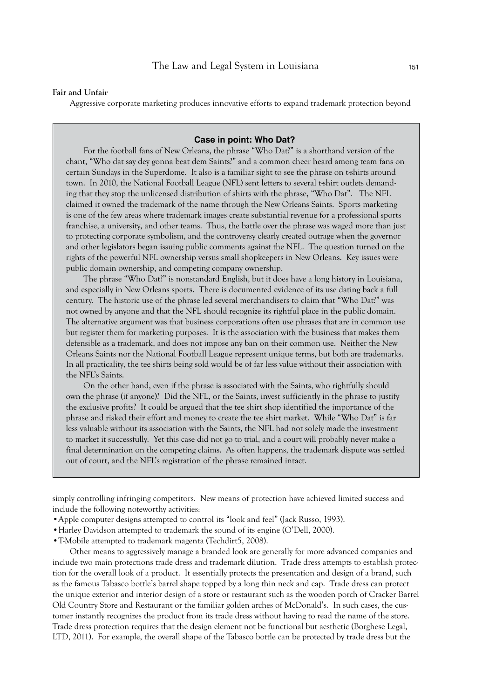## **Fair and Unfair**

Aggressive corporate marketing produces innovative efforts to expand trademark protection beyond

# **Case in point: Who Dat?**

For the football fans of New Orleans, the phrase "Who Dat?" is a shorthand version of the chant, "Who dat say dey gonna beat dem Saints?" and a common cheer heard among team fans on certain Sundays in the Superdome. It also is a familiar sight to see the phrase on t-shirts around town. In 2010, the National Football League (NFL) sent letters to several t-shirt outlets demanding that they stop the unlicensed distribution of shirts with the phrase, "Who Dat". The NFL claimed it owned the trademark of the name through the New Orleans Saints. Sports marketing is one of the few areas where trademark images create substantial revenue for a professional sports franchise, a university, and other teams. Thus, the battle over the phrase was waged more than just to protecting corporate symbolism, and the controversy clearly created outrage when the governor and other legislators began issuing public comments against the NFL. The question turned on the rights of the powerful NFL ownership versus small shopkeepers in New Orleans. Key issues were public domain ownership, and competing company ownership.

The phrase "Who Dat?" is nonstandard English, but it does have a long history in Louisiana, and especially in New Orleans sports. There is documented evidence of its use dating back a full century. The historic use of the phrase led several merchandisers to claim that "Who Dat?" was not owned by anyone and that the NFL should recognize its rightful place in the public domain. The alternative argument was that business corporations often use phrases that are in common use but register them for marketing purposes. It is the association with the business that makes them defensible as a trademark, and does not impose any ban on their common use. Neither the New Orleans Saints nor the National Football League represent unique terms, but both are trademarks. In all practicality, the tee shirts being sold would be of far less value without their association with the NFL's Saints.

On the other hand, even if the phrase is associated with the Saints, who rightfully should own the phrase (if anyone)? Did the NFL, or the Saints, invest sufficiently in the phrase to justify the exclusive profits? It could be argued that the tee shirt shop identified the importance of the phrase and risked their effort and money to create the tee shirt market. While "Who Dat" is far less valuable without its association with the Saints, the NFL had not solely made the investment to market it successfully. Yet this case did not go to trial, and a court will probably never make a final determination on the competing claims. As often happens, the trademark dispute was settled out of court, and the NFL's registration of the phrase remained intact.

simply controlling infringing competitors. New means of protection have achieved limited success and include the following noteworthy activities:

- •Apple computer designs attempted to control its "look and feel" (Jack Russo, 1993).
- •Harley Davidson attempted to trademark the sound of its engine (O'Dell, 2000).
- •T-Mobile attempted to trademark magenta (Techdirt5, 2008).

Other means to aggressively manage a branded look are generally for more advanced companies and include two main protections trade dress and trademark dilution. Trade dress attempts to establish protection for the overall look of a product. It essentially protects the presentation and design of a brand, such as the famous Tabasco bottle's barrel shape topped by a long thin neck and cap. Trade dress can protect the unique exterior and interior design of a store or restaurant such as the wooden porch of Cracker Barrel Old Country Store and Restaurant or the familiar golden arches of McDonald's. In such cases, the customer instantly recognizes the product from its trade dress without having to read the name of the store. Trade dress protection requires that the design element not be functional but aesthetic (Borghese Legal, LTD, 2011). For example, the overall shape of the Tabasco bottle can be protected by trade dress but the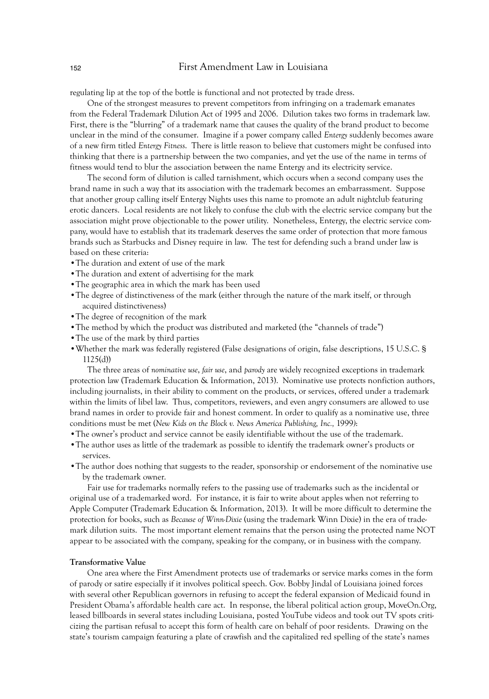regulating lip at the top of the bottle is functional and not protected by trade dress.

One of the strongest measures to prevent competitors from infringing on a trademark emanates from the Federal Trademark Dilution Act of 1995 and 2006. Dilution takes two forms in trademark law. First, there is the "blurring" of a trademark name that causes the quality of the brand product to become unclear in the mind of the consumer. Imagine if a power company called *Entergy* suddenly becomes aware of a new firm titled *Entergy Fitness*. There is little reason to believe that customers might be confused into thinking that there is a partnership between the two companies, and yet the use of the name in terms of fitness would tend to blur the association between the name Entergy and its electricity service.

The second form of dilution is called tarnishment, which occurs when a second company uses the brand name in such a way that its association with the trademark becomes an embarrassment. Suppose that another group calling itself Entergy Nights uses this name to promote an adult nightclub featuring erotic dancers. Local residents are not likely to confuse the club with the electric service company but the association might prove objectionable to the power utility. Nonetheless, Entergy, the electric service company, would have to establish that its trademark deserves the same order of protection that more famous brands such as Starbucks and Disney require in law. The test for defending such a brand under law is based on these criteria:

- •The duration and extent of use of the mark
- •The duration and extent of advertising for the mark
- •The geographic area in which the mark has been used
- •The degree of distinctiveness of the mark (either through the nature of the mark itself, or through acquired distinctiveness)
- •The degree of recognition of the mark
- •The method by which the product was distributed and marketed (the "channels of trade")
- The use of the mark by third parties
- •Whether the mark was federally registered (False designations of origin, false descriptions, 15 U.S.C. § 1125(d))

The three areas of *nominative use*, *fair use*, and *parody* are widely recognized exceptions in trademark protection law (Trademark Education & Information, 2013). Nominative use protects nonfiction authors, including journalists, in their ability to comment on the products, or services, offered under a trademark within the limits of libel law. Thus, competitors, reviewers, and even angry consumers are allowed to use brand names in order to provide fair and honest comment. In order to qualify as a nominative use, three conditions must be met (*New Kids on the Block v. News America Publishing, Inc.,* 1999*)*:

- •The owner's product and service cannot be easily identifiable without the use of the trademark.
- •The author uses as little of the trademark as possible to identify the trademark owner's products or services.
- •The author does nothing that suggests to the reader, sponsorship or endorsement of the nominative use by the trademark owner.

Fair use for trademarks normally refers to the passing use of trademarks such as the incidental or original use of a trademarked word. For instance, it is fair to write about apples when not referring to Apple Computer (Trademark Education & Information, 2013). It will be more difficult to determine the protection for books, such as *Because of Winn-Dixie* (using the trademark Winn Dixie) in the era of trademark dilution suits. The most important element remains that the person using the protected name NOT appear to be associated with the company, speaking for the company, or in business with the company.

# **Transformative Value**

One area where the First Amendment protects use of trademarks or service marks comes in the form of parody or satire especially if it involves political speech. Gov. Bobby Jindal of Louisiana joined forces with several other Republican governors in refusing to accept the federal expansion of Medicaid found in President Obama's affordable health care act. In response, the liberal political action group, MoveOn.Org, leased billboards in several states including Louisiana, posted YouTube videos and took out TV spots criticizing the partisan refusal to accept this form of health care on behalf of poor residents. Drawing on the state's tourism campaign featuring a plate of crawfish and the capitalized red spelling of the state's names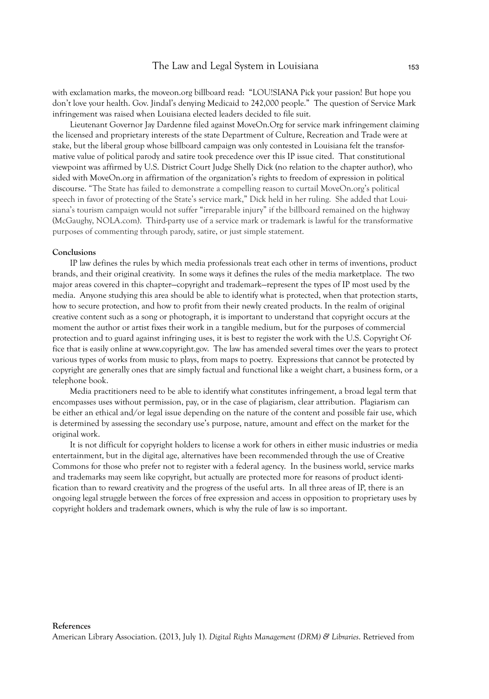with exclamation marks, the moveon.org billboard read: "LOU!SIANA Pick your passion! But hope you don't love your health. Gov. Jindal's denying Medicaid to 242,000 people." The question of Service Mark infringement was raised when Louisiana elected leaders decided to file suit.

Lieutenant Governor Jay Dardenne filed against MoveOn.Org for service mark infringement claiming the licensed and proprietary interests of the state Department of Culture, Recreation and Trade were at stake, but the liberal group whose billboard campaign was only contested in Louisiana felt the transformative value of political parody and satire took precedence over this IP issue cited. That constitutional viewpoint was affirmed by U.S. District Court Judge Shelly Dick (no relation to the chapter author), who sided with MoveOn.org in affirmation of the organization's rights to freedom of expression in political discourse. "The State has failed to demonstrate a compelling reason to curtail MoveOn.org's political speech in favor of protecting of the State's service mark," Dick held in her ruling. She added that Louisiana's tourism campaign would not suffer "irreparable injury" if the billboard remained on the highway (McGaughy, NOLA.com). Third-party use of a service mark or trademark is lawful for the transformative purposes of commenting through parody, satire, or just simple statement.

# **Conclusions**

IP law defines the rules by which media professionals treat each other in terms of inventions, product brands, and their original creativity. In some ways it defines the rules of the media marketplace. The two major areas covered in this chapter—copyright and trademark—represent the types of IP most used by the media. Anyone studying this area should be able to identify what is protected, when that protection starts, how to secure protection, and how to profit from their newly created products. In the realm of original creative content such as a song or photograph, it is important to understand that copyright occurs at the moment the author or artist fixes their work in a tangible medium, but for the purposes of commercial protection and to guard against infringing uses, it is best to register the work with the U.S. Copyright Office that is easily online at www.copyright.gov. The law has amended several times over the years to protect various types of works from music to plays, from maps to poetry. Expressions that cannot be protected by copyright are generally ones that are simply factual and functional like a weight chart, a business form, or a telephone book.

Media practitioners need to be able to identify what constitutes infringement, a broad legal term that encompasses uses without permission, pay, or in the case of plagiarism, clear attribution. Plagiarism can be either an ethical and/or legal issue depending on the nature of the content and possible fair use, which is determined by assessing the secondary use's purpose, nature, amount and effect on the market for the original work.

It is not difficult for copyright holders to license a work for others in either music industries or media entertainment, but in the digital age, alternatives have been recommended through the use of Creative Commons for those who prefer not to register with a federal agency. In the business world, service marks and trademarks may seem like copyright, but actually are protected more for reasons of product identification than to reward creativity and the progress of the useful arts. In all three areas of IP, there is an ongoing legal struggle between the forces of free expression and access in opposition to proprietary uses by copyright holders and trademark owners, which is why the rule of law is so important.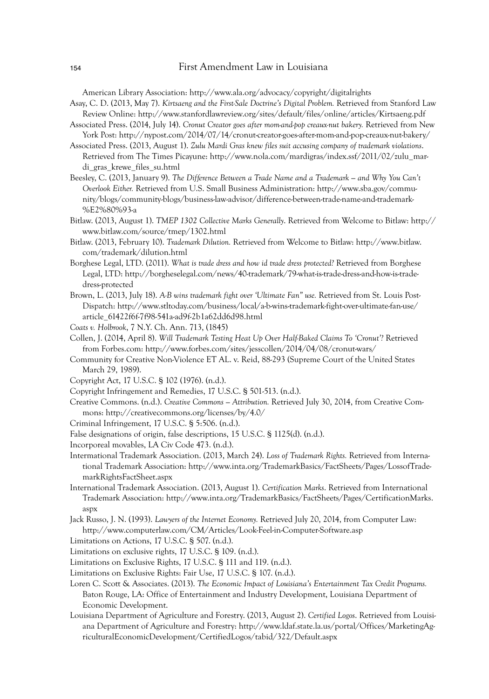American Library Association: http://www.ala.org/advocacy/copyright/digitalrights

- Asay, C. D. (2013, May 7). *Kirtsaeng and the First-Sale Doctrine's Digital Problem.* Retrieved from Stanford Law Review Online: http://www.stanfordlawreview.org/sites/default/files/online/articles/Kirtsaeng.pdf
- Associated Press. (2014, July 14). *Cronut Creator goes after mom-and-pop creaux-nut bakery.* Retrieved from New York Post: http://nypost.com/2014/07/14/cronut-creator-goes-after-mom-and-pop-creaux-nut-bakery/
- Associated Press. (2013, August 1). *Zulu Mardi Gras knew files suit accusing company of trademark violations*. Retrieved from The Times Picayune: http://www.nola.com/mardigras/index.ssf/2011/02/zulu\_mardi\_gras\_krewe\_files\_su.html
- Beesley, C. (2013, January 9). *The Difference Between a Trade Name and a Trademark and Why You Can't Overlook Either.* Retrieved from U.S. Small Business Administration: http://www.sba.gov/community/blogs/community-blogs/business-law-advisor/difference-between-trade-name-and-trademark- %E2%80%93-a
- Bitlaw. (2013, August 1). *TMEP 1302 Collective Marks Generally*. Retrieved from Welcome to Bitlaw: http:// www.bitlaw.com/source/tmep/1302.html
- Bitlaw. (2013, February 10). *Trademark Dilution.* Retrieved from Welcome to Bitlaw: http://www.bitlaw. com/trademark/dilution.html
- Borghese Legal, LTD. (2011). *What is trade dress and how id trade dress protected?* Retrieved from Borghese Legal, LTD: http://borgheselegal.com/news/40-trademark/79-what-is-trade-dress-and-how-is-tradedress-protected
- Brown, L. (2013, July 18). *A-B wins trademark fight over 'Ultimate Fan" use.* Retrieved from St. Louis Post-Dispatch: http://www.stltoday.com/business/local/a-b-wins-trademark-fight-over-ultimate-fan-use/ article\_61422f6f-7f98-541a-ad9f-2b1a62dd6d98.html
- *Coats v. Holbrook*, 7 N.Y. Ch. Ann. 713, (1845)
- Collen, J. (2014, April 8). *Will Trademark Testing Heat Up Over Half-Baked Claims To 'Cronut'?* Retrieved from Forbes.com: http://www.forbes.com/sites/jesscollen/2014/04/08/cronut-wars/
- Community for Creative Non-Violence ET AL. v. Reid, 88-293 (Supreme Court of the United States March 29, 1989).
- Copyright Act, 17 U.S.C. § 102 (1976). (n.d.).
- Copyright Infringement and Remedies, 17 U.S.C. § 501-513. (n.d.).
- Creative Commons. (n.d.). *Creative Commons Attribution.* Retrieved July 30, 2014, from Creative Commons: http://creativecommons.org/licenses/by/4.0/
- Criminal Infringement, 17 U.S.C. § 5:506. (n.d.).
- False designations of origin, false descriptions, 15 U.S.C. § 1125(d). (n.d.).
- Incorporeal movables, LA Civ Code 473. (n.d.).
- Intermational Trademark Association. (2013, March 24). *Loss of Trademark Rights.* Retrieved from International Trademark Association: http://www.inta.org/TrademarkBasics/FactSheets/Pages/LossofTrademarkRightsFactSheet.aspx
- International Trademark Association. (2013, August 1). *Certification Marks*. Retrieved from International Trademark Association: http://www.inta.org/TrademarkBasics/FactSheets/Pages/CertificationMarks. aspx
- Jack Russo, J. N. (1993). *Lawyers of the Internet Economy.* Retrieved July 20, 2014, from Computer Law: http://www.computerlaw.com/CM/Articles/Look-Feel-in-Computer-Software.asp
- Limitations on Actions, 17 U.S.C. § 507. (n.d.).
- Limitations on exclusive rights, 17 U.S.C. § 109. (n.d.).
- Limitations on Exclusive Rights, 17 U.S.C. § 111 and 119. (n.d.).
- Limitations on Exclusive Rights: Fair Use, 17 U.S.C. § 107. (n.d.).
- Loren C. Scott & Associates. (2013). *The Economic Impact of Louisiana's Entertainment Tax Credit Programs.* Baton Rouge, LA: Office of Entertainment and Industry Development, Louisiana Department of Economic Development.
- Louisiana Department of Agriculture and Forestry. (2013, August 2). *Certified Logos*. Retrieved from Louisiana Department of Agriculture and Forestry: http://www.ldaf.state.la.us/portal/Offices/MarketingAgriculturalEconomicDevelopment/CertifiedLogos/tabid/322/Default.aspx